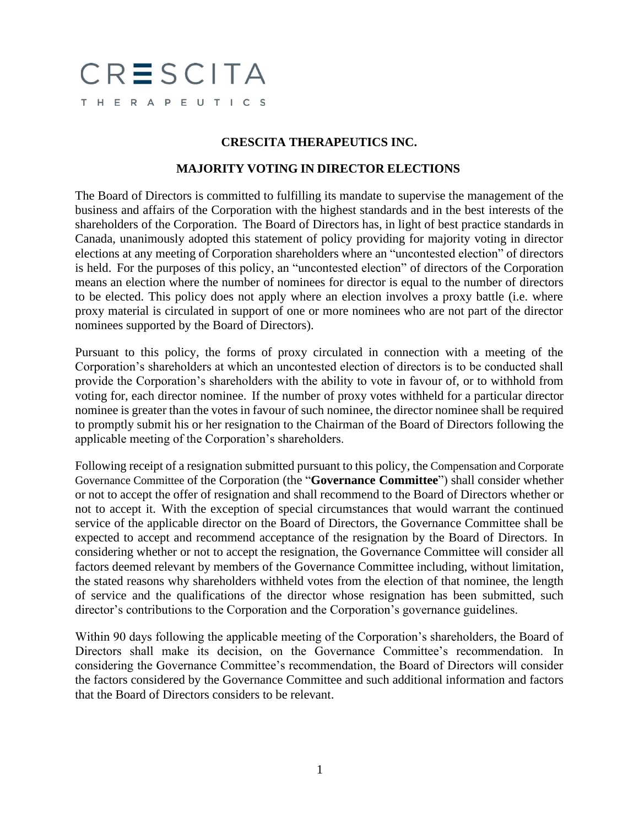## CRESCITA THERAPEUTICS

## **CRESCITA THERAPEUTICS INC.**

## **MAJORITY VOTING IN DIRECTOR ELECTIONS**

The Board of Directors is committed to fulfilling its mandate to supervise the management of the business and affairs of the Corporation with the highest standards and in the best interests of the shareholders of the Corporation. The Board of Directors has, in light of best practice standards in Canada, unanimously adopted this statement of policy providing for majority voting in director elections at any meeting of Corporation shareholders where an "uncontested election" of directors is held. For the purposes of this policy, an "uncontested election" of directors of the Corporation means an election where the number of nominees for director is equal to the number of directors to be elected. This policy does not apply where an election involves a proxy battle (i.e. where proxy material is circulated in support of one or more nominees who are not part of the director nominees supported by the Board of Directors).

Pursuant to this policy, the forms of proxy circulated in connection with a meeting of the Corporation's shareholders at which an uncontested election of directors is to be conducted shall provide the Corporation's shareholders with the ability to vote in favour of, or to withhold from voting for, each director nominee. If the number of proxy votes withheld for a particular director nominee is greater than the votes in favour of such nominee, the director nominee shall be required to promptly submit his or her resignation to the Chairman of the Board of Directors following the applicable meeting of the Corporation's shareholders.

Following receipt of a resignation submitted pursuant to this policy, the Compensation and Corporate Governance Committee of the Corporation (the "**Governance Committee**") shall consider whether or not to accept the offer of resignation and shall recommend to the Board of Directors whether or not to accept it. With the exception of special circumstances that would warrant the continued service of the applicable director on the Board of Directors, the Governance Committee shall be expected to accept and recommend acceptance of the resignation by the Board of Directors. In considering whether or not to accept the resignation, the Governance Committee will consider all factors deemed relevant by members of the Governance Committee including, without limitation, the stated reasons why shareholders withheld votes from the election of that nominee, the length of service and the qualifications of the director whose resignation has been submitted, such director's contributions to the Corporation and the Corporation's governance guidelines.

Within 90 days following the applicable meeting of the Corporation's shareholders, the Board of Directors shall make its decision, on the Governance Committee's recommendation. In considering the Governance Committee's recommendation, the Board of Directors will consider the factors considered by the Governance Committee and such additional information and factors that the Board of Directors considers to be relevant.